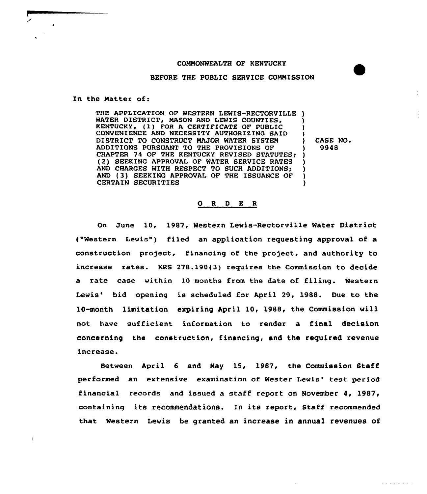## COMMONWEALTH OF KENTUCKY

#### BEFORE THE PUBLIC SERVICE COMMISSION

In the Natter of:

THE APPLICATION OF WESTERN LEWIS-RECTORVILLE ) WATER DISTRICT, MASON AND LEWIS COUNTIES, KENTUCKY (1) FOR <sup>A</sup> CERTIFICATE OF PUBLIC CONVENIENCE AND NECESSITY AUTHORIZING SAID DISTRICT TO CONSTRUCT MAJOR WATER SYSTEM ADDITIONS PURSUANT TO THE PROVISIONS OF CHAPTER 74 OF THE KENTUCKY REVISED STATUTES; (2) SEEKING APPROVAL OF WATER SERVICE RATES AND CHARGES WITH RESPECT TO SUCH ADDITIONS; AND (3) SEEKING APPROVAL OF THE ISSUANCE OF CERTAIN SECURITIES ) ) ) ) ) ) ) )

) CASE NO. ) 9948

### O R D E R

On June 10, 1987, Western Lewis-Rectorville Water District ("Western Lewis") filed an application requesting approval of a construction project, financing of the project, and authority to increase rates. KRS  $278.190(3)$  requires the Commission to decide a rate case within 10 months from the date of filing. Western Lewis' bid opening is scheduled for April 29, 1988. Due to the 10-month limitation expiring April 10, 1988, the Commission will not have sufficient information to render a final decision concerning the construction, financing, and the required revenue increase.

Between April <sup>6</sup> and Nay 15, 1987, the Commission Staff performed an extensive examination of Wester Lewis' test period financial records and issued a staff report on November 4, 1987, containing its recommendations. In its report, Staff recommended that Western Lewis be granted an increase in annual revenues of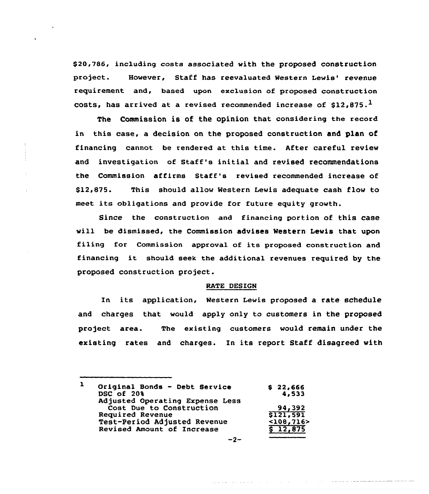\$20,786, including costs associated with the proposed construction project. However, Staff has reevaluated Western Lewis' revenue requirement and, based upon exclusion of proposed construction costs, has arrived at a revised recommended increase of  $$12.875.<sup>1</sup>$ 

The Commission is of the opinion that considering the record in this case, a decision on the proposed construction and plan of financing cannot be rendered at this time. After careful review and investigation of Staff's initial and revised recommendations the Commission affirms Staff's revised recommended increase of \$12,875. This should allow Western Lewis adequate cash flow to meet its obligations and provide for future equity growth.

Since the construction and financing portion of this case will be dismissed, the Commission advises Western Lewis that upon filing for Commission approval of its proposed construction and financing it should seek the additional revenues required by the proposed construction project.

#### RATE DESIGN

In its application, Western Lewis proposed a rate schedule and charges that would apply only to customers in the proposed project area. The existing customers would remain under the existing rates and charges. In its report Staff disagreed with

|  | Original Bonds - Debt Service   | \$22,666   |
|--|---------------------------------|------------|
|  | DSC of 20%                      | 4,533      |
|  | Adjusted Operating Expense Less |            |
|  | Cost Due to Construction        | 94,392     |
|  | Required Revenue                | \$121,591  |
|  | Test-Period Adjusted Revenue    | < 108, 716 |
|  | Revised Amount of Increase      | \$12,875   |
|  |                                 |            |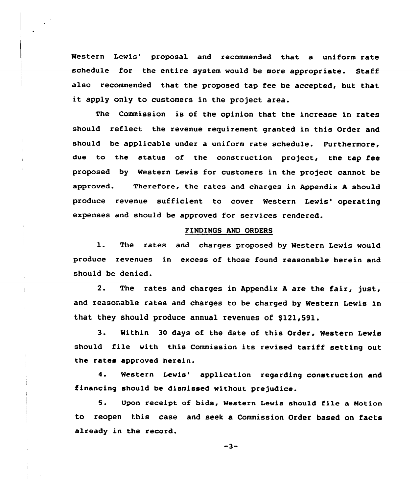Western Lewis' proposal and recommended that a uniform rate schedule for the entire system would be more appropriate. Staff also recommended that the proposed tap fee be accepted, but that it apply only to customers in the project area.

The Commission is of the opinion that the increase in rates should reflect the revenue requirement granted in this Order and should be applicable under a uniform rate schedule. Furthermore, due to the status of the construction project, the tap fee proposed by Western Lewis for customers in the project cannot be approved. Therefore, the rates and charges in Appendix <sup>A</sup> should produce revenue sufficient to cover Western Lewis' operating expenses and should be approved for services rendered.

# FINDINGS AND ORDERS

l. The rates and charges proposed by Western Lewis would produce revenues in excess of those found reasonable herein and should be denied.

2. The rates and charges in Appendix <sup>A</sup> are the fair, just, and reasonable rates and charges to be charged by Western Lewis in that they should produce annual revenues of \$121,591.

3. Within <sup>30</sup> days of the date of this Order, Western Lewis should file with this Commission its revised tariff setting out the rates approved herein.

4. Western Lewis' application regarding construction and financing should be dismissed without prejudice.

5. Upon receipt of bids, Western Lewis should file a Notion to reopen this case and seek a Commission Order based on facts already in the record.

 $-3-$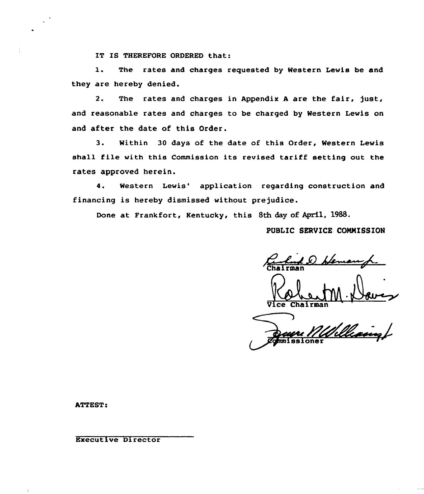IT IS THEREFORE ORDERED that:

1. The rates and charges requested by Western Lewis be and they are hereby denied.

2. The rates and charges in Appendix A are the fair, just, and reasonable rates and charges to be charged by Western Lewis on and after the date of this Order.

3. Within 30 days of the date of this Order, Western Lewis shall file with this Commission its revised tariff setting out the rates approved herein.

4. Western Lewis' application regarding construction and financing is hereby dismissed without prejudice.

Done at Frankfort, Kentucky, this 8th day of April, 1988.

PUBLIC SERVICE COMMISSION

Chairman

~issioner

ATTEST!

Executive Director